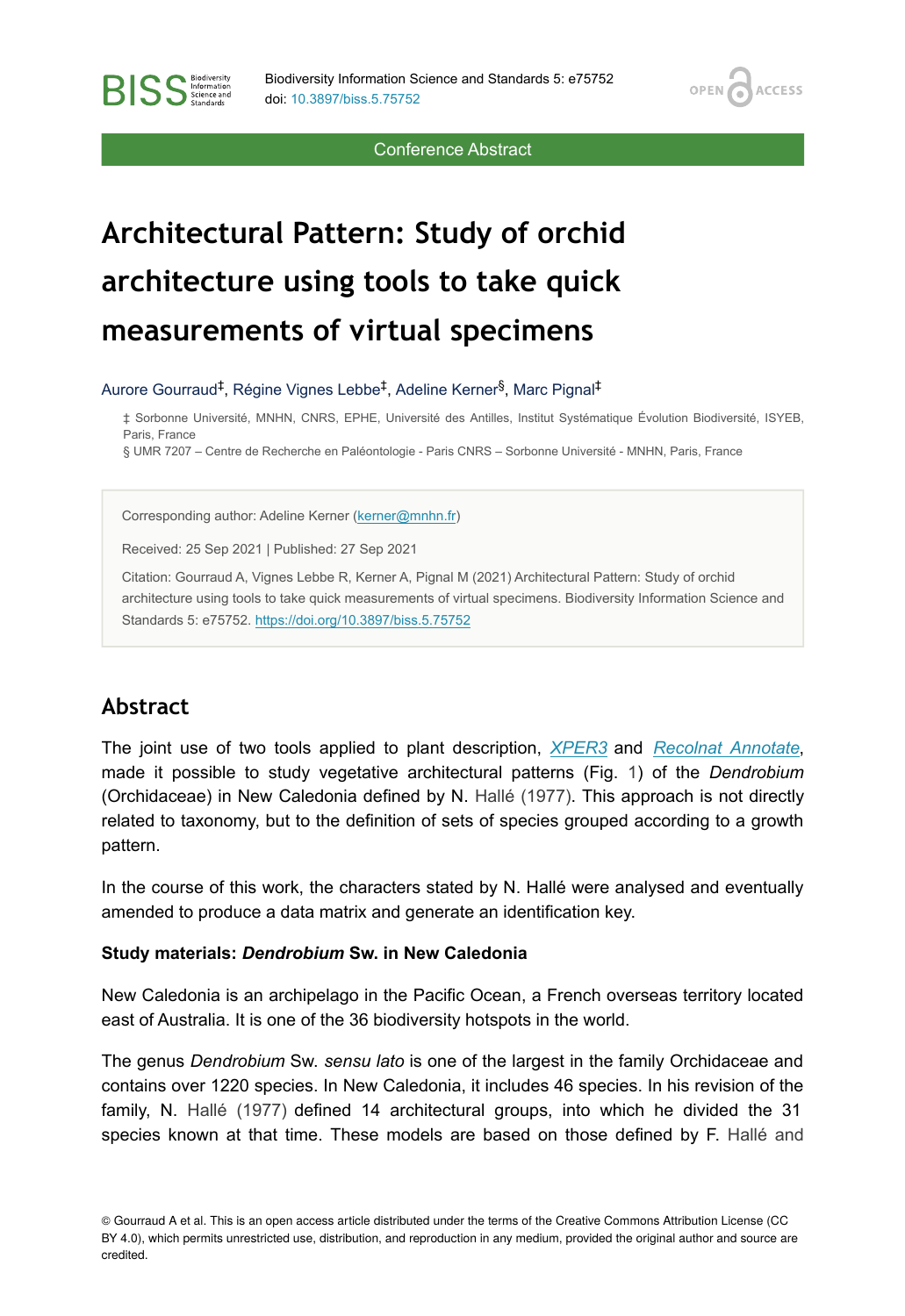OPEN<sub>C</sub>

**ACCESS** 

Conference Abstract

# **Architectural Pattern: Study of orchid architecture using tools to take quick measurements of virtual specimens**

Aurore Gourraud<sup>‡</sup>, Régine Vignes Lebbe<sup>‡</sup>, Adeline Kerner<sup>§</sup>, Marc Pignal<sup>‡</sup>

‡ Sorbonne Université, MNHN, CNRS, EPHE, Université des Antilles, Institut Systématique Évolution Biodiversité, ISYEB, Paris, France

§ UMR 7207 – Centre de Recherche en Paléontologie - Paris CNRS – Sorbonne Université - MNHN, Paris, France

Corresponding author: Adeline Kerner ([kerner@mnhn.fr](mailto:kerner@mnhn.fr))

Received: 25 Sep 2021 | Published: 27 Sep 2021

Citation: Gourraud A, Vignes Lebbe R, Kerner A, Pignal M (2021) Architectural Pattern: Study of orchid architecture using tools to take quick measurements of virtual specimens. Biodiversity Information Science and Standards 5: e75752. <https://doi.org/10.3897/biss.5.75752>

# **Abstract**

**BISS** Steince and

The joint use of two tools applied to plant description, *[XPER3](http://www.xper3.fr/?language=en)* and *[Recolnat Annotate](https://www.recolnat.org/en/annotate)*, made it possible to study vegetative architectural patterns (Fig. [1](#page-1-0)) of the *Dendrobium* (Orchidaceae) in New Caledonia defined by N. [Hallé \(1977\).](#page-4-0) This approach is not directly related to taxonomy, but to the definition of sets of species grouped according to a growth pattern.

In the course of this work, the characters stated by N. Hallé were analysed and eventually amended to produce a data matrix and generate an identification key.

#### **Study materials:** *Dendrobium* **Sw. in New Caledonia**

New Caledonia is an archipelago in the Pacific Ocean, a French overseas territory located east of Australia. It is one of the 36 biodiversity hotspots in the world.

The genus *Dendrobium* Sw. *sensu lato* is one of the largest in the family Orchidaceae and contains over 1220 species. In New Caledonia, it includes 46 species. In his revision of the family, N. [Hallé \(1977\)](#page-4-0) defined 14 architectural groups, into which he divided the 31 species known at that time. These models are based on those defined by F. [Hallé and](#page-4-1)

© Gourraud A et al. This is an open access article distributed under the terms of the Creative Commons Attribution License (CC BY 4.0), which permits unrestricted use, distribution, and reproduction in any medium, provided the original author and source are credited.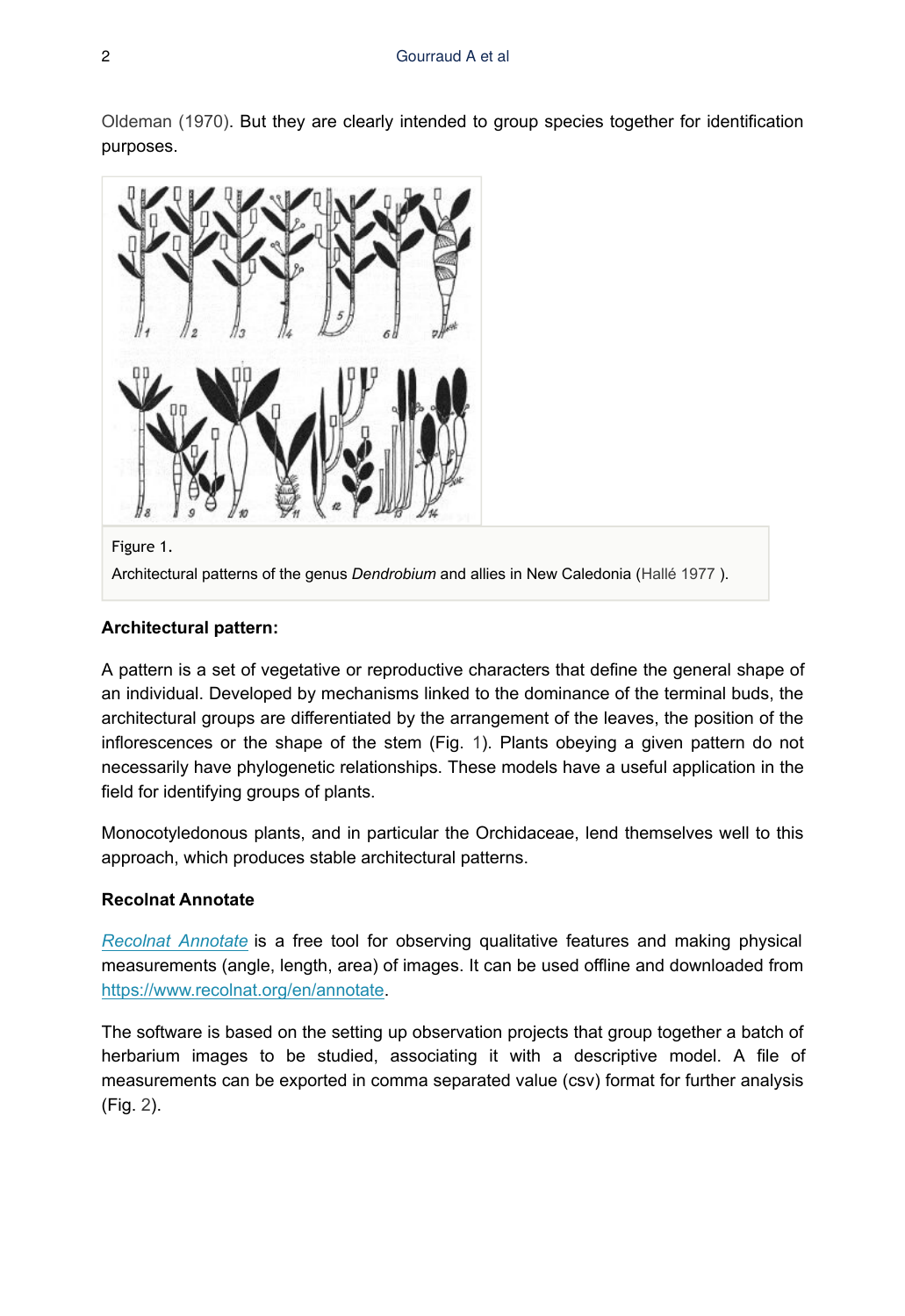[Oldeman \(1970\)](#page-4-1). But they are clearly intended to group species together for identification purposes.

<span id="page-1-0"></span>

Figure 1.

Architectural patterns of the genus *Dendrobium* and allies in New Caledonia [\(Hallé 1977](#page-4-0) ).

#### **Architectural pattern:**

A pattern is a set of vegetative or reproductive characters that define the general shape of an individual. Developed by mechanisms linked to the dominance of the terminal buds, the architectural groups are differentiated by the arrangement of the leaves, the position of the inflorescences or the shape of the stem (Fig. [1\)](#page-1-0). Plants obeying a given pattern do not necessarily have phylogenetic relationships. These models have a useful application in the field for identifying groups of plants.

Monocotyledonous plants, and in particular the Orchidaceae, lend themselves well to this approach, which produces stable architectural patterns.

#### **Recolnat Annotate**

*[Recolnat Annotate](https://www.recolnat.org/en/annotate)* is a free tool for observing qualitative features and making physical measurements (angle, length, area) of images. It can be used offline and downloaded from [https://www.recolnat.org/en/annotate.](https://www.recolnat.org/en/annotate)

The software is based on the setting up observation projects that group together a batch of herbarium images to be studied, associating it with a descriptive model. A file of measurements can be exported in comma separated value (csv) format for further analysis (Fig. [2\)](#page-2-0).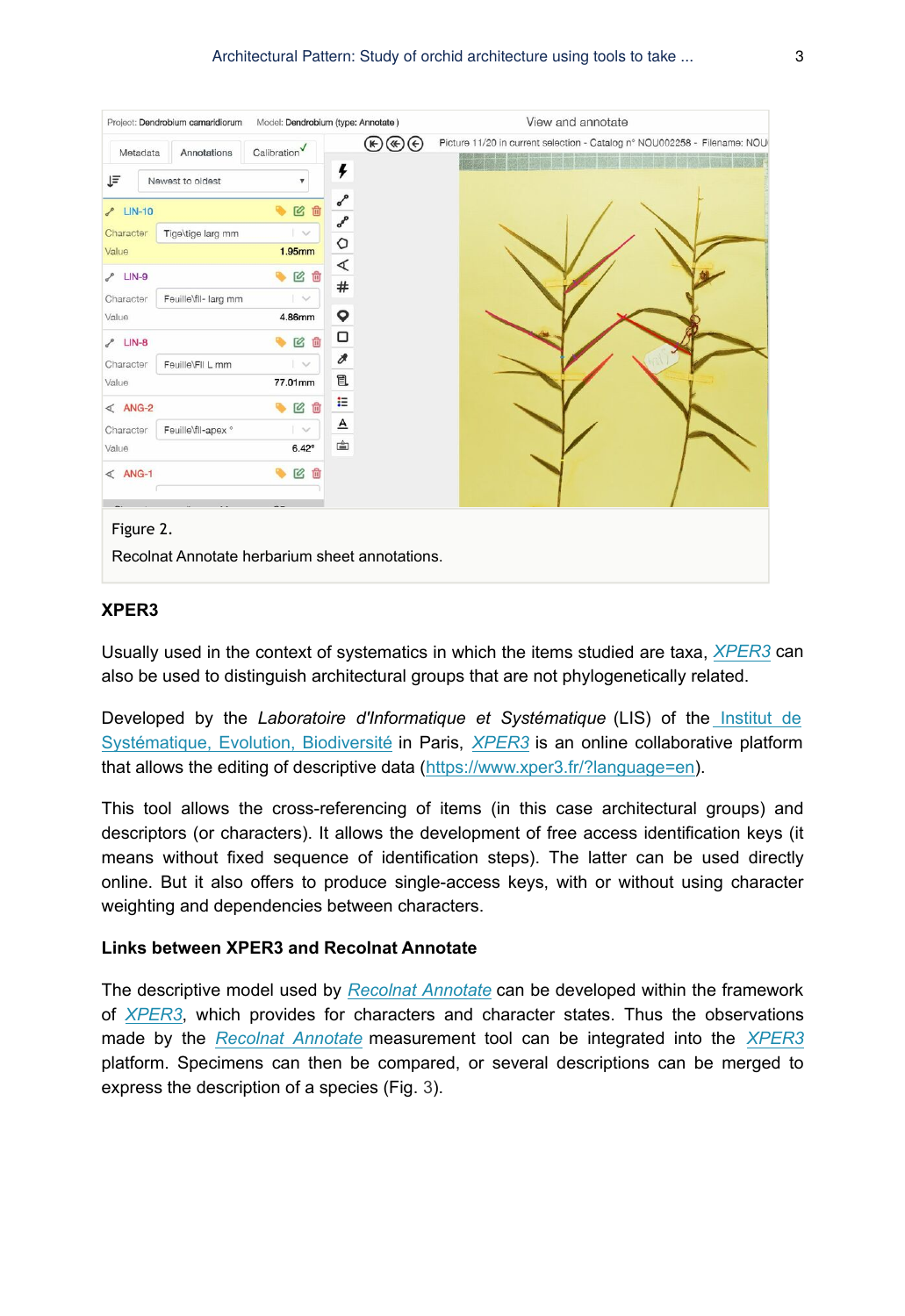<span id="page-2-0"></span>

#### **XPER3**

Usually used in the context of systematics in which the items studied are taxa, *[XPER3](http://www.xper3.fr/?language=en)* can also be used to distinguish architectural groups that are not phylogenetically related.

Developed by the *Laboratoire d'Informatique et Systématique* (LIS) of the [Institut de](https://isyeb.mnhn.fr/fr) [Systématique, Evolution, Biodiversité](https://isyeb.mnhn.fr/fr) in Paris, *[XPER3](http://www.xper3.fr/?language=en)* is an online collaborative platform that allows the editing of descriptive data ([https://www.xper3.fr/?language=en\)](https://www.xper3.fr/?language=en).

This tool allows the cross-referencing of items (in this case architectural groups) and descriptors (or characters). It allows the development of free access identification keys (it means without fixed sequence of identification steps). The latter can be used directly online. But it also offers to produce single-access keys, with or without using character weighting and dependencies between characters.

#### **Links between XPER3 and Recolnat Annotate**

The descriptive model used by *[Recolnat Annotate](https://www.recolnat.org/en/annotate)* can be developed within the framework of *[XPER3](http://www.xper3.fr/?language=en)*, which provides for characters and character states. Thus the observations made by the *[Recolnat Annotate](https://www.recolnat.org/en/annotate)* measurement tool can be integrated into the *[XPER3](http://www.xper3.fr/?language=en)* platform. Specimens can then be compared, or several descriptions can be merged to express the description of a species (Fig. [3\)](#page-3-0).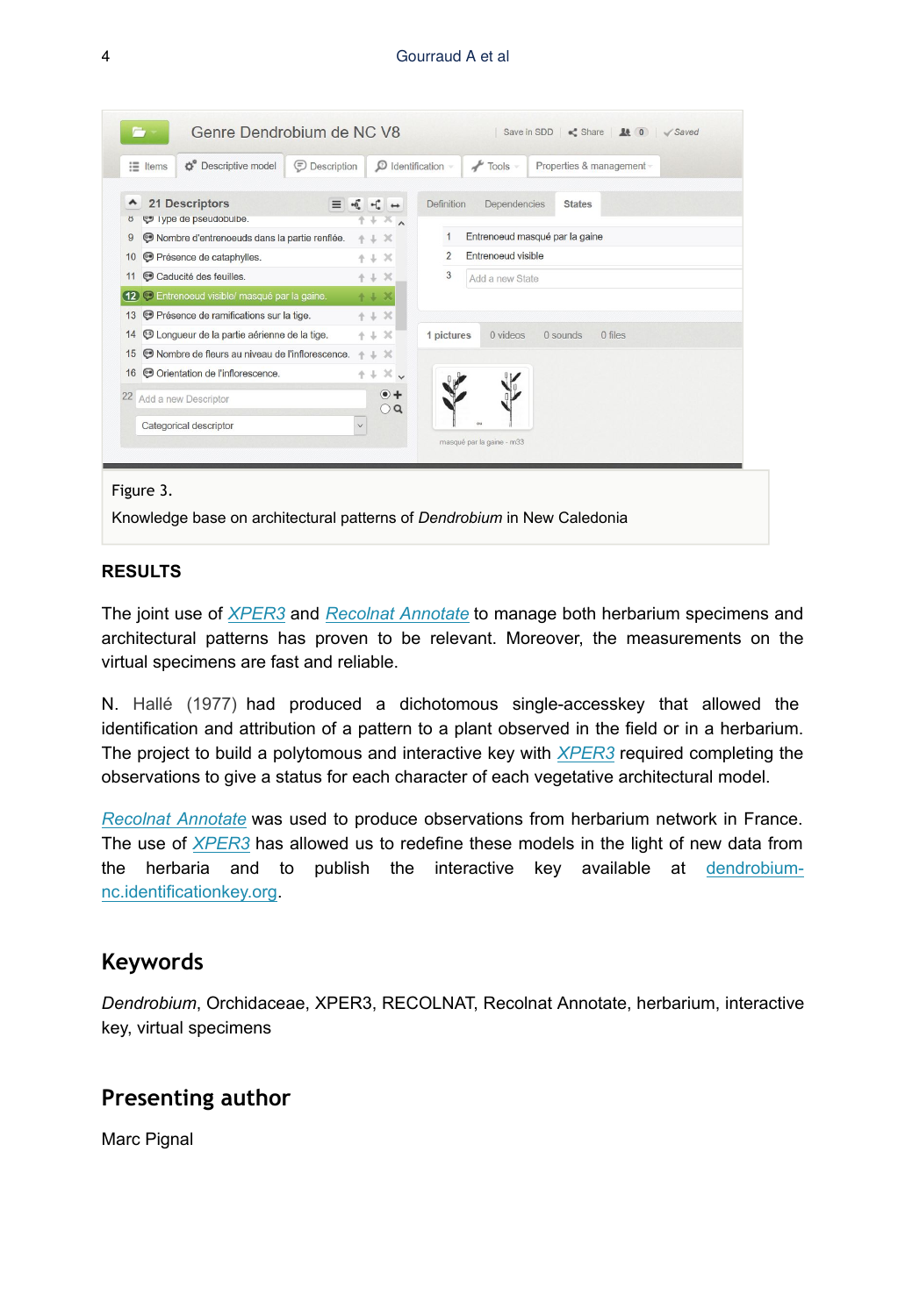<span id="page-3-0"></span>

|                         | Genre Dendrobium de NC V8                                                                                                                                                                                                                                                                                                                                                                                                                                                                                                                                                                                |              |              | Save in SDD<br>$\leq$ Share $\leq$ 0 $\leq$ Saved                                                                                                                                                           |
|-------------------------|----------------------------------------------------------------------------------------------------------------------------------------------------------------------------------------------------------------------------------------------------------------------------------------------------------------------------------------------------------------------------------------------------------------------------------------------------------------------------------------------------------------------------------------------------------------------------------------------------------|--------------|--------------|-------------------------------------------------------------------------------------------------------------------------------------------------------------------------------------------------------------|
|                         | <b>Descriptive model</b><br>$\equiv$ Items                                                                                                                                                                                                                                                                                                                                                                                                                                                                                                                                                               | Description  |              | $\mathcal D$ Identification $\neg$<br>$\sqrt{\frac{1}{2}}$ Tools $\sim$<br>Properties & management -                                                                                                        |
| ^<br>ŏ<br>9<br>10<br>11 | 21 Descriptors<br>÷ő.<br>$=$<br>vpe de pseudobulbe.<br>$\times$<br>÷<br>Nombre d'entrenoeuds dans la partie renflée.<br>$+ + x$<br>Présence de cataphylles.<br>$+1 \times$<br>© Caducité des feuilles.<br>$+ + x$<br>· Entrenoeud visible/ masqué par la gaine.<br>(12)<br>$+ + x$<br><b>O</b> Présence de ramifications sur la tige.<br>$+ + x$<br>13<br><b>5</b> Longueur de la partie aérienne de la tige.<br>$+1 \times$<br>14<br>Nombre de fleurs au niveau de l'inflorescence.<br>$+ + x$<br>15<br>© Orientation de l'inflorescence.<br>$+ + \times$<br>16<br>$\bullet$<br>22 Add a new Descriptor |              | $\bigcirc$ Q | <b>Definition</b><br>Dependencies<br><b>States</b><br>Entrenoeud masqué par la gaine<br>Entrenoeud visible<br>$\overline{2}$<br>3<br>Add a new State<br>0 videos<br>1 pictures<br>0 files<br>0 sounds<br>οū |
|                         | Categorical descriptor                                                                                                                                                                                                                                                                                                                                                                                                                                                                                                                                                                                   | $\checkmark$ |              | masqué par la gaine - m33                                                                                                                                                                                   |
| Figure 3.               |                                                                                                                                                                                                                                                                                                                                                                                                                                                                                                                                                                                                          |              |              |                                                                                                                                                                                                             |

Knowledge base on architectural patterns of *Dendrobium* in New Caledonia

#### **RESULTS**

The joint use of *[XPER3](http://www.xper3.fr/?language=en)* and *[Recolnat Annotate](https://www.recolnat.org/en/annotate)* to manage both herbarium specimens and architectural patterns has proven to be relevant. Moreover, the measurements on the virtual specimens are fast and reliable.

N. [Hallé \(1977\)](#page-4-0) had produced a dichotomous single-accesskey that allowed the identification and attribution of a pattern to a plant observed in the field or in a herbarium. The project to build a polytomous and interactive key with *[XPER3](http://www.xper3.fr/?language=en)* required completing the observations to give a status for each character of each vegetative architectural model.

*[Recolnat Annotate](https://www.recolnat.org/en/annotate)* was used to produce observations from herbarium network in France. The use of *[XPER3](http://www.xper3.fr/?language=en)* has allowed us to redefine these models in the light of new data from the herbaria and to publish the interactive key available at [dendrobium](http://dendrobium-nc.identificationkey.org)[nc.identificationkey.org](http://dendrobium-nc.identificationkey.org).

### **Keywords**

*Dendrobium*, Orchidaceae, XPER3, RECOLNAT, Recolnat Annotate, herbarium, interactive key, virtual specimens

## **Presenting author**

Marc Pignal